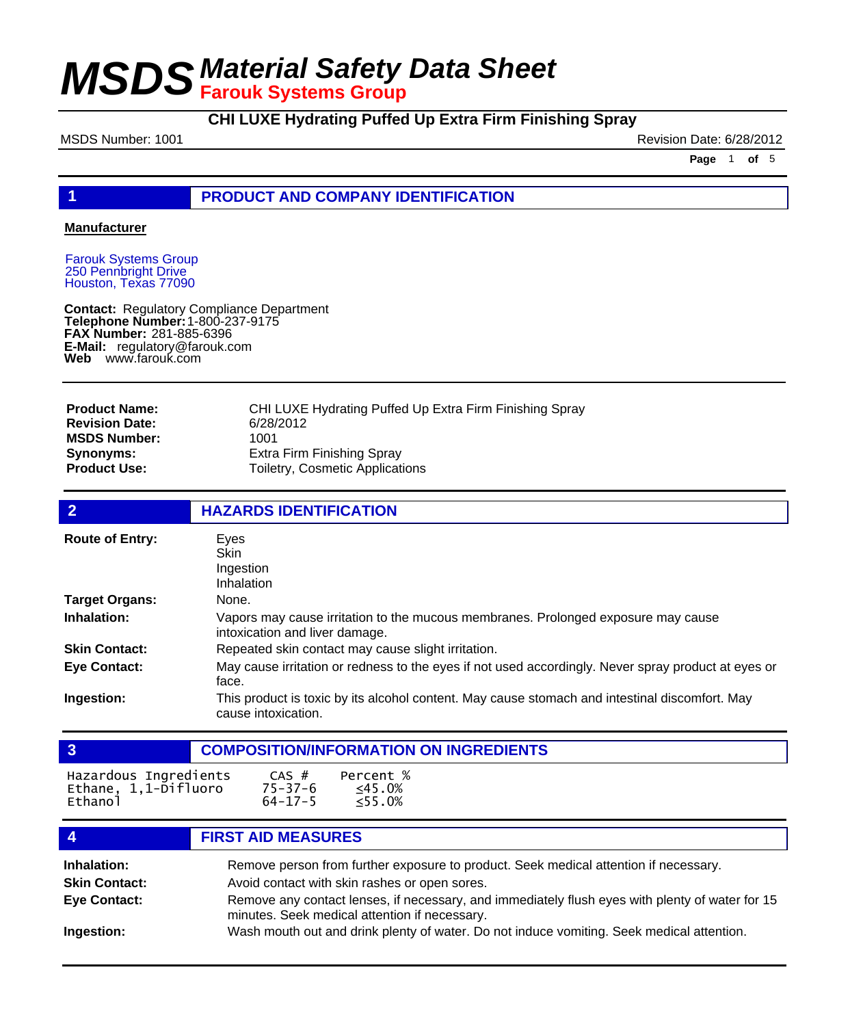# **CHI LUXE Hydrating Puffed Up Extra Firm Finishing Spray**

MSDS Number: 1001 **Review 1001** Revision Date: 6/28/2012

**Page** 1 **of** 5

### **1 PRODUCT AND COMPANY IDENTIFICATION**

#### **Manufacturer**

Farouk Systems Group 250 Pennbright Drive Houston, Texas 77090

**Contact: Telephone Number: FAX Number:** 281-885-6396 **E-Mail:** regulatory@farouk.com **Web** www.farouk.com Regulatory Compliance Department 1-800-237-9175

| <b>Product Name:</b>  | CHI LUXE Hydrating Puffed Up Extra Firm Finishing Spray |
|-----------------------|---------------------------------------------------------|
| <b>Revision Date:</b> | 6/28/2012                                               |
| <b>MSDS Number:</b>   | 1001                                                    |
| <b>Synonyms:</b>      | Extra Firm Finishing Spray                              |
| <b>Product Use:</b>   | Toiletry, Cosmetic Applications                         |

| $\overline{2}$         | <b>HAZARDS IDENTIFICATION</b>                                                                                         |
|------------------------|-----------------------------------------------------------------------------------------------------------------------|
| <b>Route of Entry:</b> | Eyes<br><b>Skin</b><br>Ingestion<br>Inhalation                                                                        |
| <b>Target Organs:</b>  | None.                                                                                                                 |
| Inhalation:            | Vapors may cause irritation to the mucous membranes. Prolonged exposure may cause<br>intoxication and liver damage.   |
| <b>Skin Contact:</b>   | Repeated skin contact may cause slight irritation.                                                                    |
| <b>Eye Contact:</b>    | May cause irritation or redness to the eyes if not used accordingly. Never spray product at eyes or<br>face.          |
| Ingestion:             | This product is toxic by its alcohol content. May cause stomach and intestinal discomfort. May<br>cause intoxication. |

|                                                          |                                         | <b>COMPOSITION/INFORMATION ON INGREDIENTS</b> |
|----------------------------------------------------------|-----------------------------------------|-----------------------------------------------|
| Hazardous Ingredients<br>Ethane, 1,1-Difluoro<br>Ethanol | CAS #<br>$75 - 37 - 6$<br>$64 - 17 - 5$ | Percent %<br>≤45.0%<br>< 55.0%                |
|                                                          | <b>FIRST AID MEASURES</b>               |                                               |

| Inhalation:          | Remove person from further exposure to product. Seek medical attention if necessary.                                                             |
|----------------------|--------------------------------------------------------------------------------------------------------------------------------------------------|
| <b>Skin Contact:</b> | Avoid contact with skin rashes or open sores.                                                                                                    |
| Eye Contact:         | Remove any contact lenses, if necessary, and immediately flush eyes with plenty of water for 15<br>minutes. Seek medical attention if necessary. |
| Ingestion:           | Wash mouth out and drink plenty of water. Do not induce vomiting. Seek medical attention.                                                        |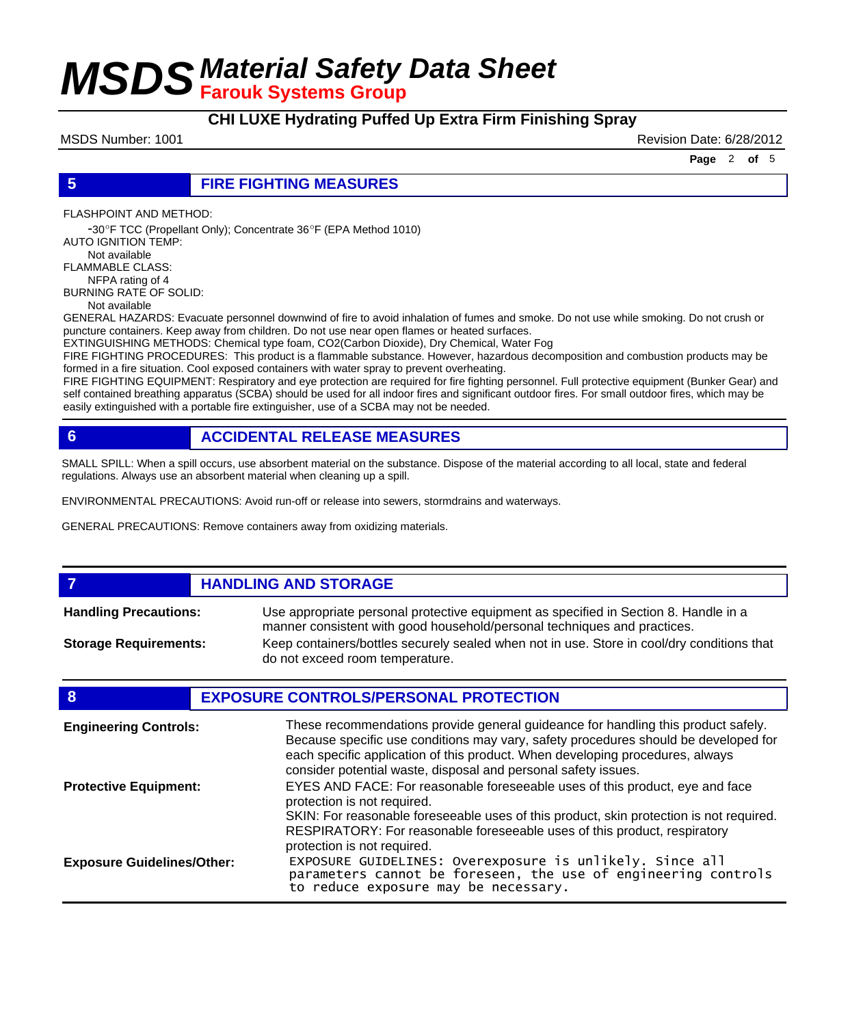### **CHI LUXE Hydrating Puffed Up Extra Firm Finishing Spray**

MSDS Number: 1001 **MSDS Number: 1001** Revision Date: 6/28/2012

**Page** 2 **of** 5

**5 FIRE FIGHTING MEASURES**

FLASHPOINT AND METHOD:

 -30ºF TCC (Propellant Only); Concentrate 36ºF (EPA Method 1010) AUTO IGNITION TEMP:

 Not available FLAMMABLE CLASS: NFPA rating of 4 BURNING RATE OF SOLID:

Not available

GENERAL HAZARDS: Evacuate personnel downwind of fire to avoid inhalation of fumes and smoke. Do not use while smoking. Do not crush or puncture containers. Keep away from children. Do not use near open flames or heated surfaces.

EXTINGUISHING METHODS: Chemical type foam, CO2(Carbon Dioxide), Dry Chemical, Water Fog

FIRE FIGHTING PROCEDURES: This product is a flammable substance. However, hazardous decomposition and combustion products may be formed in a fire situation. Cool exposed containers with water spray to prevent overheating.

FIRE FIGHTING EQUIPMENT: Respiratory and eye protection are required for fire fighting personnel. Full protective equipment (Bunker Gear) and self contained breathing apparatus (SCBA) should be used for all indoor fires and significant outdoor fires. For small outdoor fires, which may be easily extinguished with a portable fire extinguisher, use of a SCBA may not be needed.

# **6 ACCIDENTAL RELEASE MEASURES**

SMALL SPILL: When a spill occurs, use absorbent material on the substance. Dispose of the material according to all local, state and federal regulations. Always use an absorbent material when cleaning up a spill.

ENVIRONMENTAL PRECAUTIONS: Avoid run-off or release into sewers, stormdrains and waterways.

GENERAL PRECAUTIONS: Remove containers away from oxidizing materials.

### **FIGURE 12 IN STRUCK AND STORAGE**

Use appropriate personal protective equipment as specified in Section 8. Handle in a manner consistent with good household/personal techniques and practices. **Handling Precautions:** Keep containers/bottles securely sealed when not in use. Store in cool/dry conditions that do not exceed room temperature. **Storage Requirements:**

#### **8 EXPOSURE CONTROLS/PERSONAL PROTECTION**

| <b>Engineering Controls:</b>      | These recommendations provide general guideance for handling this product safely.<br>Because specific use conditions may vary, safety procedures should be developed for<br>each specific application of this product. When developing procedures, always<br>consider potential waste, disposal and personal safety issues. |
|-----------------------------------|-----------------------------------------------------------------------------------------------------------------------------------------------------------------------------------------------------------------------------------------------------------------------------------------------------------------------------|
| <b>Protective Equipment:</b>      | EYES AND FACE: For reasonable foreseeable uses of this product, eye and face<br>protection is not required.<br>SKIN: For reasonable foreseeable uses of this product, skin protection is not required.<br>RESPIRATORY: For reasonable foreseeable uses of this product, respiratory<br>protection is not required.          |
| <b>Exposure Guidelines/Other:</b> | EXPOSURE GUIDELINES: Overexposure is unlikely. Since all<br>parameters cannot be foreseen, the use of engineering controls<br>to reduce exposure may be necessary.                                                                                                                                                          |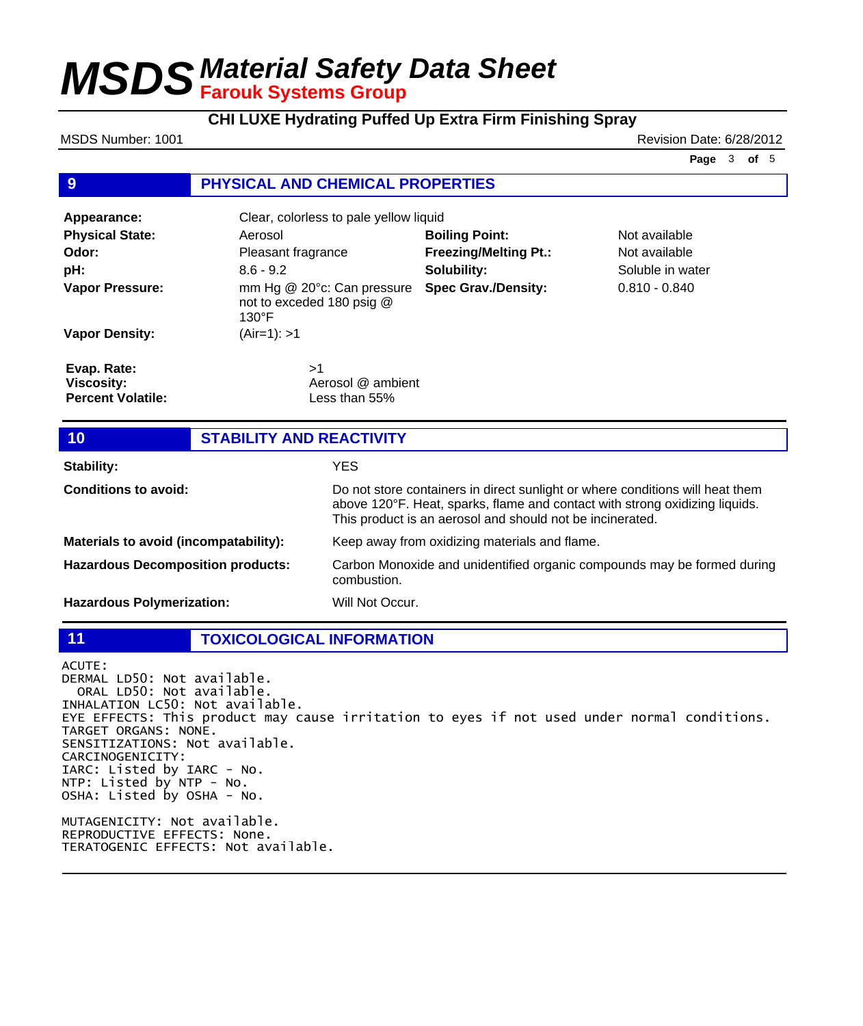# **CHI LUXE Hydrating Puffed Up Extra Firm Finishing Spray**

MSDS Number: 1001 **Review Accounts** 2001 2012 12:00 12:00 12:00 12:00 12:00 12:00 12:00 12:00 12:00 12:00 12:00 12:00 12:00 12:00 12:00 12:00 12:00 12:00 12:00 12:00 12:00 12:00 12:00 12:00 12:00 12:00 12:00 12:00 12:00 12

**Page** 3 **of** 5

### **9 PHYSICAL AND CHEMICAL PROPERTIES**

| Appearance:                                                  | Clear, colorless to pale yellow liquid                                     |                              |                  |  |
|--------------------------------------------------------------|----------------------------------------------------------------------------|------------------------------|------------------|--|
| <b>Physical State:</b>                                       | Aerosol                                                                    | <b>Boiling Point:</b>        | Not available    |  |
| Odor:                                                        | Pleasant fragrance                                                         | <b>Freezing/Melting Pt.:</b> | Not available    |  |
| pH:                                                          | $8.6 - 9.2$                                                                | Solubility:                  | Soluble in water |  |
| <b>Vapor Pressure:</b>                                       | mm Hg @ 20°c: Can pressure<br>not to exceded 180 psig @<br>$130^{\circ}$ F | <b>Spec Grav./Density:</b>   | $0.810 - 0.840$  |  |
| <b>Vapor Density:</b>                                        | $(Air=1): >1$                                                              |                              |                  |  |
| Evap. Rate:<br><b>Viscosity:</b><br><b>Percent Volatile:</b> | >1<br>Aerosol @ ambient<br>Less than $55\%$                                |                              |                  |  |
|                                                              |                                                                            |                              |                  |  |
| 10                                                           | <b>STABILITY AND REACTIVITY</b>                                            |                              |                  |  |
|                                                              |                                                                            |                              |                  |  |

| Stability:                               | YES.                                                                                                                                                                                                                      |
|------------------------------------------|---------------------------------------------------------------------------------------------------------------------------------------------------------------------------------------------------------------------------|
| <b>Conditions to avoid:</b>              | Do not store containers in direct sunlight or where conditions will heat them<br>above 120°F. Heat, sparks, flame and contact with strong oxidizing liquids.<br>This product is an aerosol and should not be incinerated. |
| Materials to avoid (incompatability):    | Keep away from oxidizing materials and flame.                                                                                                                                                                             |
| <b>Hazardous Decomposition products:</b> | Carbon Monoxide and unidentified organic compounds may be formed during<br>combustion.                                                                                                                                    |
| <b>Hazardous Polymerization:</b>         | Will Not Occur.                                                                                                                                                                                                           |

**11 TOXICOLOGICAL INFORMATION**

ACUTE: DERMAL LD50: Not available. ORAL LD50: Not available. INHALATION LC50: Not available. EYE EFFECTS: This product may cause irritation to eyes if not used under normal conditions. TARGET ORGANS: NONE. SENSITIZATIONS: Not available. CARCINOGENICITY: IARC: Listed by IARC - No. NTP: Listed by NTP - No. OSHA: Listed by OSHA - No. MUTAGENICITY: Not available. REPRODUCTIVE EFFECTS: None. TERATOGENIC EFFECTS: Not available.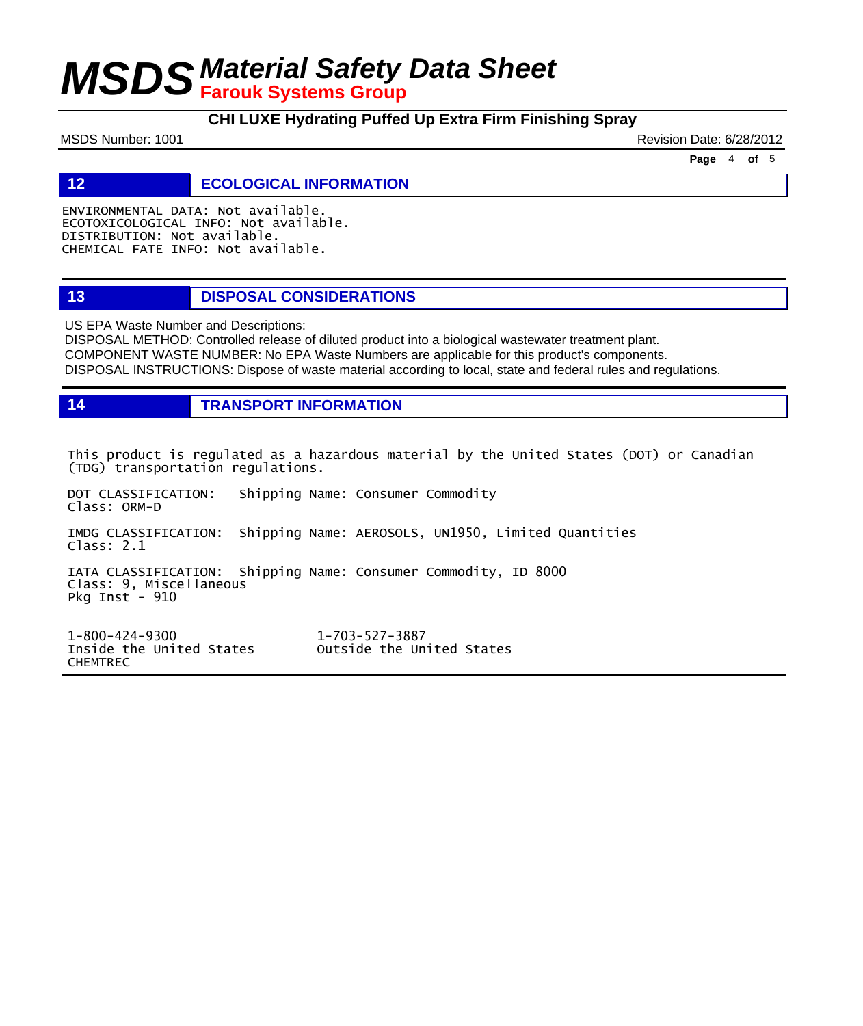# **CHI LUXE Hydrating Puffed Up Extra Firm Finishing Spray**

MSDS Number: 1001 **Review Accounts** 2001 2012 12:00 Revision Date: 6/28/2012

**Page** 4 **of** 5

**12 ECOLOGICAL INFORMATION** 

ENVIRONMENTAL DATA: Not available. ECOTOXICOLOGICAL INFO: Not available. DISTRIBUTION: Not available. CHEMICAL FATE INFO: Not available.

### **13 DISPOSAL CONSIDERATIONS**

US EPA Waste Number and Descriptions:

DISPOSAL METHOD: Controlled release of diluted product into a biological wastewater treatment plant. COMPONENT WASTE NUMBER: No EPA Waste Numbers are applicable for this product's components. DISPOSAL INSTRUCTIONS: Dispose of waste material according to local, state and federal rules and regulations.

**14 TRANSPORT INFORMATION**

This product is regulated as a hazardous material by the United States (DOT) or Canadian (TDG) transportation regulations.

DOT CLASSIFICATION: Shipping Name: Consumer Commodity Class: ORM-D IMDG CLASSIFICATION: Shipping Name: AEROSOLS, UN1950, Limited Quantities Class: 2.1 IATA CLASSIFICATION: Shipping Name: Consumer Commodity, ID 8000 Class: 9, Miscellaneous Pkg Inst - 910

1-800-424-9300 1-703-527-3887 Outside the United States CHEMTREC